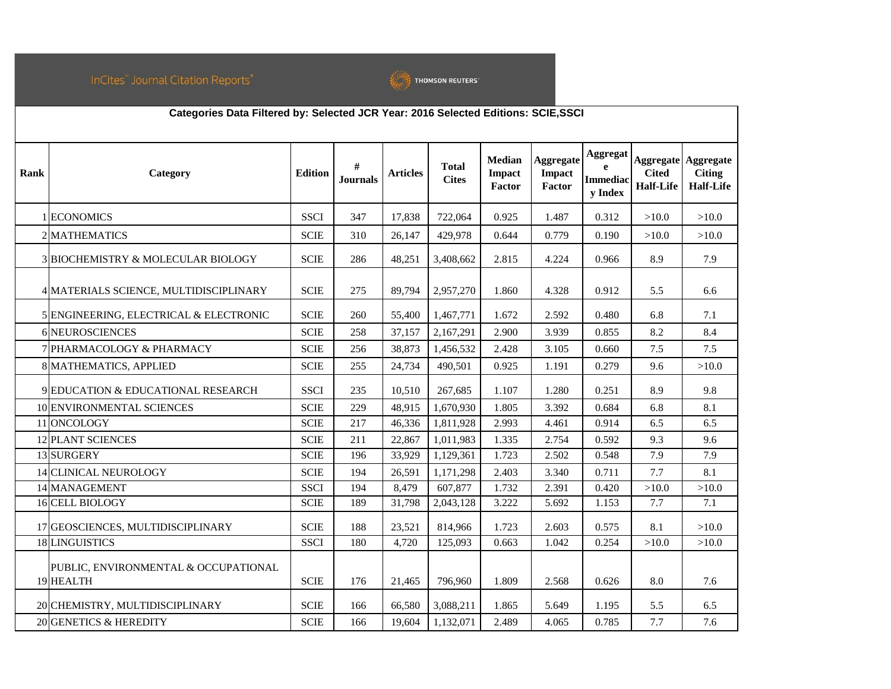

|      | Categories Data Filtered by: Selected JCR Year: 2016 Selected Editions: SCIE, SSCI |                |                      |                 |                              |                                          |                                             |                                        |                                  |                                                                 |
|------|------------------------------------------------------------------------------------|----------------|----------------------|-----------------|------------------------------|------------------------------------------|---------------------------------------------|----------------------------------------|----------------------------------|-----------------------------------------------------------------|
| Rank | Category                                                                           | <b>Edition</b> | #<br><b>Journals</b> | <b>Articles</b> | <b>Total</b><br><b>Cites</b> | <b>Median</b><br><b>Impact</b><br>Factor | <b>Aggregate</b><br><b>Impact</b><br>Factor | Aggregat<br><b>Immediac</b><br>y Index | <b>Cited</b><br><b>Half-Life</b> | <b>Aggregate Aggregate</b><br><b>Citing</b><br><b>Half-Life</b> |
|      | 1 ECONOMICS                                                                        | <b>SSCI</b>    | 347                  | 17,838          | 722,064                      | 0.925                                    | 1.487                                       | 0.312                                  | >10.0                            | >10.0                                                           |
|      | 2 MATHEMATICS                                                                      | <b>SCIE</b>    | 310                  | 26,147          | 429,978                      | 0.644                                    | 0.779                                       | 0.190                                  | >10.0                            | >10.0                                                           |
|      | 3 BIOCHEMISTRY & MOLECULAR BIOLOGY                                                 | <b>SCIE</b>    | 286                  | 48,251          | 3,408,662                    | 2.815                                    | 4.224                                       | 0.966                                  | 8.9                              | 7.9                                                             |
|      | 4 MATERIALS SCIENCE, MULTIDISCIPLINARY                                             | <b>SCIE</b>    | 275                  | 89,794          | 2,957,270                    | 1.860                                    | 4.328                                       | 0.912                                  | 5.5                              | 6.6                                                             |
|      | 5 ENGINEERING, ELECTRICAL & ELECTRONIC                                             | <b>SCIE</b>    | 260                  | 55,400          | 1,467,771                    | 1.672                                    | 2.592                                       | 0.480                                  | 6.8                              | 7.1                                                             |
|      | 6 NEUROSCIENCES                                                                    | <b>SCIE</b>    | 258                  | 37,157          | 2,167,291                    | 2.900                                    | 3.939                                       | 0.855                                  | 8.2                              | 8.4                                                             |
|      | <b>7 PHARMACOLOGY &amp; PHARMACY</b>                                               | <b>SCIE</b>    | 256                  | 38,873          | 1,456,532                    | 2.428                                    | 3.105                                       | 0.660                                  | 7.5                              | 7.5                                                             |
|      | 8 MATHEMATICS, APPLIED                                                             | <b>SCIE</b>    | 255                  | 24,734          | 490,501                      | 0.925                                    | 1.191                                       | 0.279                                  | 9.6                              | >10.0                                                           |
|      | 9 EDUCATION & EDUCATIONAL RESEARCH                                                 | <b>SSCI</b>    | 235                  | 10,510          | 267,685                      | 1.107                                    | 1.280                                       | 0.251                                  | 8.9                              | 9.8                                                             |
|      | 10 ENVIRONMENTAL SCIENCES                                                          | <b>SCIE</b>    | 229                  | 48,915          | 1,670,930                    | 1.805                                    | 3.392                                       | 0.684                                  | 6.8                              | 8.1                                                             |
|      | 11 ONCOLOGY                                                                        | <b>SCIE</b>    | 217                  | 46,336          | 1,811,928                    | 2.993                                    | 4.461                                       | 0.914                                  | 6.5                              | 6.5                                                             |
|      | <b>12 PLANT SCIENCES</b>                                                           | <b>SCIE</b>    | 211                  | 22,867          | 1,011,983                    | 1.335                                    | 2.754                                       | 0.592                                  | 9.3                              | 9.6                                                             |
|      | 13 SURGERY                                                                         | <b>SCIE</b>    | 196                  | 33,929          | 1,129,361                    | 1.723                                    | 2.502                                       | 0.548                                  | 7.9                              | 7.9                                                             |
|      | 14 CLINICAL NEUROLOGY                                                              | <b>SCIE</b>    | 194                  | 26,591          | 1,171,298                    | 2.403                                    | 3.340                                       | 0.711                                  | 7.7                              | 8.1                                                             |
|      | 14 MANAGEMENT                                                                      | <b>SSCI</b>    | 194                  | 8,479           | 607,877                      | 1.732                                    | 2.391                                       | 0.420                                  | >10.0                            | >10.0                                                           |
|      | <b>16 CELL BIOLOGY</b>                                                             | <b>SCIE</b>    | 189                  | 31,798          | 2,043,128                    | 3.222                                    | 5.692                                       | 1.153                                  | 7.7                              | 7.1                                                             |
|      | 17 GEOSCIENCES, MULTIDISCIPLINARY                                                  | <b>SCIE</b>    | 188                  | 23,521          | 814,966                      | 1.723                                    | 2.603                                       | 0.575                                  | 8.1                              | >10.0                                                           |
|      | 18 LINGUISTICS                                                                     | <b>SSCI</b>    | 180                  | 4,720           | 125,093                      | 0.663                                    | 1.042                                       | 0.254                                  | >10.0                            | >10.0                                                           |
|      | PUBLIC, ENVIRONMENTAL & OCCUPATIONAL<br>19 HEALTH                                  | <b>SCIE</b>    | 176                  | 21,465          | 796,960                      | 1.809                                    | 2.568                                       | 0.626                                  | 8.0                              | 7.6                                                             |
|      | 20 CHEMISTRY, MULTIDISCIPLINARY                                                    | <b>SCIE</b>    | 166                  | 66,580          | 3,088,211                    | 1.865                                    | 5.649                                       | 1.195                                  | 5.5                              | 6.5                                                             |
|      | 20 GENETICS & HEREDITY                                                             | <b>SCIE</b>    | 166                  | 19,604          | 1,132,071                    | 2.489                                    | 4.065                                       | 0.785                                  | 7.7                              | 7.6                                                             |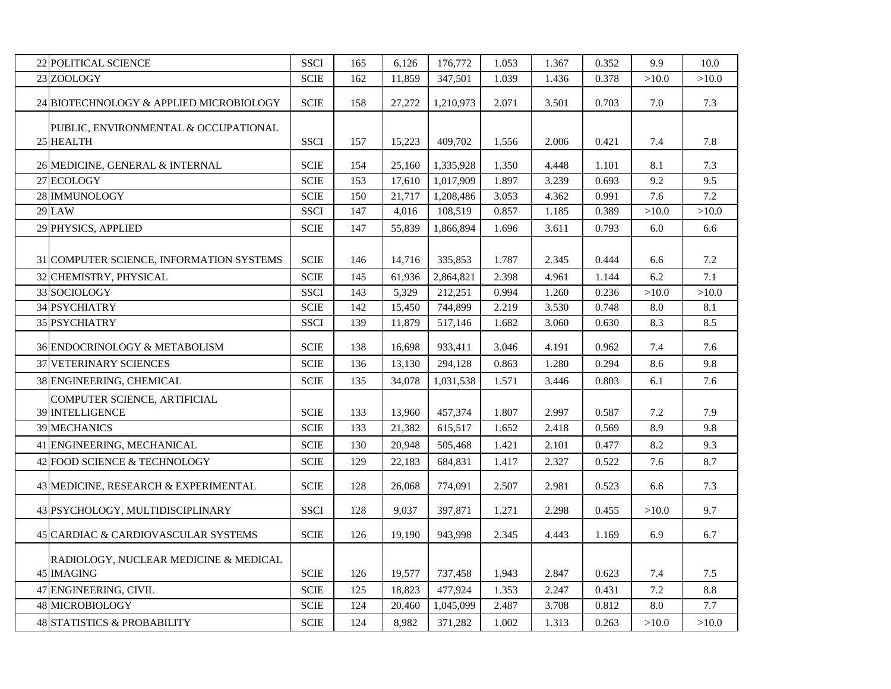| <b>22 POLITICAL SCIENCE</b>                       | <b>SSCI</b>           | 165 | 6,126  | 176,772   | 1.053 | 1.367 | 0.352 | 9.9     | 10.0  |
|---------------------------------------------------|-----------------------|-----|--------|-----------|-------|-------|-------|---------|-------|
| 23 ZOOLOGY                                        | $\operatorname{SCIE}$ | 162 | 11,859 | 347,501   | 1.039 | 1.436 | 0.378 | >10.0   | >10.0 |
| 24 BIOTECHNOLOGY & APPLIED MICROBIOLOGY           | <b>SCIE</b>           | 158 | 27,272 | 1,210,973 | 2.071 | 3.501 | 0.703 | 7.0     | 7.3   |
|                                                   |                       |     |        |           |       |       |       |         |       |
| PUBLIC, ENVIRONMENTAL & OCCUPATIONAL<br>25 HEALTH | <b>SSCI</b>           | 157 |        |           | 1.556 | 2.006 |       |         | 7.8   |
|                                                   |                       |     | 15,223 | 409,702   |       |       | 0.421 | 7.4     |       |
| 26 MEDICINE, GENERAL & INTERNAL                   | <b>SCIE</b>           | 154 | 25,160 | 1,335,928 | 1.350 | 4.448 | 1.101 | 8.1     | 7.3   |
| 27 ECOLOGY                                        | <b>SCIE</b>           | 153 | 17,610 | 1,017,909 | 1.897 | 3.239 | 0.693 | 9.2     | 9.5   |
| 28 IMMUNOLOGY                                     | <b>SCIE</b>           | 150 | 21,717 | 1,208,486 | 3.053 | 4.362 | 0.991 | 7.6     | 7.2   |
| <b>29 LAW</b>                                     | <b>SSCI</b>           | 147 | 4,016  | 108,519   | 0.857 | 1.185 | 0.389 | >10.0   | >10.0 |
| 29 PHYSICS, APPLIED                               | $\operatorname{SCIE}$ | 147 | 55,839 | 1,866,894 | 1.696 | 3.611 | 0.793 | 6.0     | 6.6   |
|                                                   |                       |     |        |           |       |       |       |         |       |
| 31 COMPUTER SCIENCE, INFORMATION SYSTEMS          | <b>SCIE</b>           | 146 | 14,716 | 335,853   | 1.787 | 2.345 | 0.444 | 6.6     | 7.2   |
| 32 CHEMISTRY, PHYSICAL                            | <b>SCIE</b>           | 145 | 61,936 | 2,864,821 | 2.398 | 4.961 | 1.144 | 6.2     | 7.1   |
| 33 SOCIOLOGY                                      | <b>SSCI</b>           | 143 | 5,329  | 212,251   | 0.994 | 1.260 | 0.236 | >10.0   | >10.0 |
| 34 PSYCHIATRY                                     | $\operatorname{SCIE}$ | 142 | 15,450 | 744,899   | 2.219 | 3.530 | 0.748 | 8.0     | 8.1   |
| 35 PSYCHIATRY                                     | <b>SSCI</b>           | 139 | 11,879 | 517,146   | 1.682 | 3.060 | 0.630 | 8.3     | 8.5   |
| 36 ENDOCRINOLOGY & METABOLISM                     | $\operatorname{SCIE}$ | 138 | 16,698 | 933,411   | 3.046 | 4.191 | 0.962 | 7.4     | 7.6   |
| 37 VETERINARY SCIENCES                            | $\operatorname{SCIE}$ | 136 | 13,130 | 294,128   | 0.863 | 1.280 | 0.294 | 8.6     | 9.8   |
| 38 ENGINEERING, CHEMICAL                          | $\operatorname{SCIE}$ | 135 | 34,078 | 1,031,538 | 1.571 | 3.446 | 0.803 | 6.1     | 7.6   |
|                                                   |                       |     |        |           |       |       |       |         |       |
| COMPUTER SCIENCE, ARTIFICIAL<br>39 INTELLIGENCE   | <b>SCIE</b>           | 133 | 13,960 | 457,374   | 1.807 | 2.997 | 0.587 | 7.2     | 7.9   |
| <b>39 MECHANICS</b>                               | <b>SCIE</b>           | 133 | 21,382 | 615,517   | 1.652 | 2.418 | 0.569 | 8.9     | 9.8   |
|                                                   |                       |     |        |           |       |       |       |         |       |
| 41 ENGINEERING, MECHANICAL                        | <b>SCIE</b>           | 130 | 20,948 | 505,468   | 1.421 | 2.101 | 0.477 | 8.2     | 9.3   |
| 42 FOOD SCIENCE & TECHNOLOGY                      | <b>SCIE</b>           | 129 | 22,183 | 684,831   | 1.417 | 2.327 | 0.522 | 7.6     | 8.7   |
| 43 MEDICINE, RESEARCH & EXPERIMENTAL              | <b>SCIE</b>           | 128 | 26,068 | 774,091   | 2.507 | 2.981 | 0.523 | 6.6     | 7.3   |
| 43 PSYCHOLOGY, MULTIDISCIPLINARY                  | <b>SSCI</b>           | 128 | 9,037  | 397,871   | 1.271 | 2.298 | 0.455 | >10.0   | 9.7   |
| 45 CARDIAC & CARDIOVASCULAR SYSTEMS               | <b>SCIE</b>           | 126 | 19,190 | 943,998   | 2.345 | 4.443 | 1.169 | 6.9     | 6.7   |
|                                                   |                       |     |        |           |       |       |       |         |       |
| RADIOLOGY, NUCLEAR MEDICINE & MEDICAL             |                       |     |        |           |       |       |       |         |       |
| 45 IMAGING                                        | $\operatorname{SCIE}$ | 126 | 19,577 | 737,458   | 1.943 | 2.847 | 0.623 | 7.4     | 7.5   |
| 47 ENGINEERING, CIVIL                             | <b>SCIE</b>           | 125 | 18,823 | 477,924   | 1.353 | 2.247 | 0.431 | $7.2\,$ | 8.8   |
| 48 MICROBIOLOGY                                   | $\operatorname{SCIE}$ | 124 | 20,460 | 1,045,099 | 2.487 | 3.708 | 0.812 | $8.0\,$ | 7.7   |
| <b>48 STATISTICS &amp; PROBABILITY</b>            | $\operatorname{SCIE}$ | 124 | 8,982  | 371,282   | 1.002 | 1.313 | 0.263 | >10.0   | >10.0 |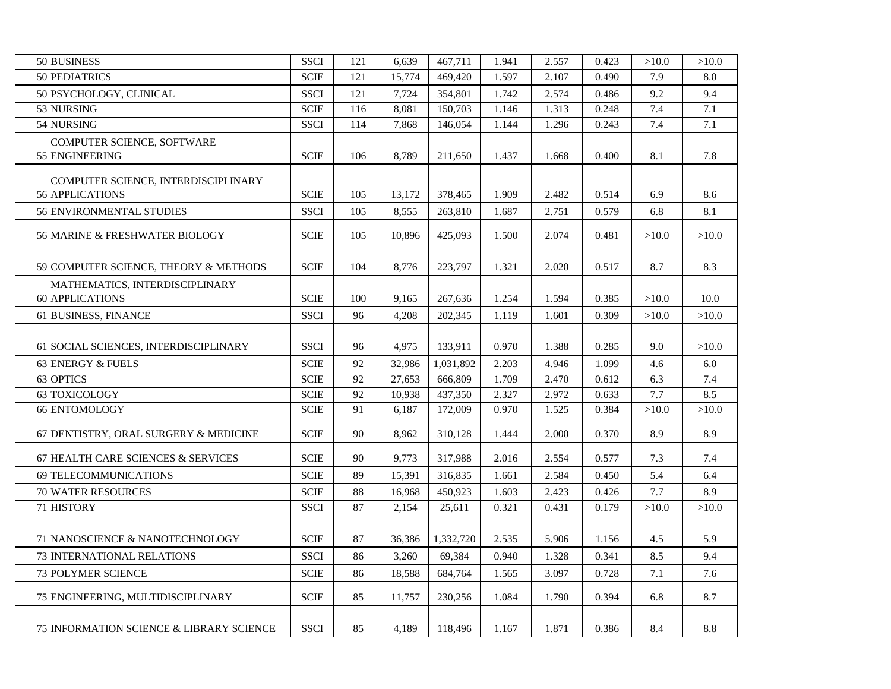| 50 BUSINESS                                            | <b>SSCI</b>           | 121 | 6,639  | 467,711   | 1.941 | 2.557 | 0.423 | >10.0 | >10.0 |
|--------------------------------------------------------|-----------------------|-----|--------|-----------|-------|-------|-------|-------|-------|
| 50 PEDIATRICS                                          | <b>SCIE</b>           | 121 | 15,774 | 469,420   | 1.597 | 2.107 | 0.490 | 7.9   | 8.0   |
| 50 PSYCHOLOGY, CLINICAL                                | <b>SSCI</b>           | 121 | 7,724  | 354,801   | 1.742 | 2.574 | 0.486 | 9.2   | 9.4   |
| 53 NURSING                                             | $\operatorname{SCIE}$ | 116 | 8,081  | 150,703   | 1.146 | 1.313 | 0.248 | 7.4   | 7.1   |
| 54 NURSING                                             | <b>SSCI</b>           | 114 | 7,868  | 146,054   | 1.144 | 1.296 | 0.243 | 7.4   | 7.1   |
| COMPUTER SCIENCE, SOFTWARE                             |                       |     |        |           |       |       |       |       |       |
| 55 ENGINEERING                                         | <b>SCIE</b>           | 106 | 8,789  | 211,650   | 1.437 | 1.668 | 0.400 | 8.1   | 7.8   |
|                                                        |                       |     |        |           |       |       |       |       |       |
| COMPUTER SCIENCE, INTERDISCIPLINARY<br>56 APPLICATIONS | <b>SCIE</b>           | 105 | 13,172 | 378,465   | 1.909 | 2.482 | 0.514 | 6.9   | 8.6   |
| 56 ENVIRONMENTAL STUDIES                               | <b>SSCI</b>           | 105 | 8,555  | 263,810   | 1.687 | 2.751 | 0.579 | 6.8   | 8.1   |
|                                                        |                       |     |        |           |       |       |       |       |       |
| 56 MARINE & FRESHWATER BIOLOGY                         | $\operatorname{SCIE}$ | 105 | 10,896 | 425,093   | 1.500 | 2.074 | 0.481 | >10.0 | >10.0 |
|                                                        |                       |     |        |           |       |       |       |       |       |
| 59 COMPUTER SCIENCE, THEORY & METHODS                  | <b>SCIE</b>           | 104 | 8,776  | 223,797   | 1.321 | 2.020 | 0.517 | 8.7   | 8.3   |
| MATHEMATICS, INTERDISCIPLINARY                         |                       |     |        |           |       |       |       |       |       |
| <b>60 APPLICATIONS</b>                                 | <b>SCIE</b>           | 100 | 9,165  | 267,636   | 1.254 | 1.594 | 0.385 | >10.0 | 10.0  |
| 61 BUSINESS, FINANCE                                   | <b>SSCI</b>           | 96  | 4,208  | 202,345   | 1.119 | 1.601 | 0.309 | >10.0 | >10.0 |
|                                                        |                       |     |        |           |       |       |       |       |       |
| 61 SOCIAL SCIENCES, INTERDISCIPLINARY                  | <b>SSCI</b>           | 96  | 4,975  | 133,911   | 0.970 | 1.388 | 0.285 | 9.0   | >10.0 |
| 63 ENERGY & FUELS                                      | <b>SCIE</b>           | 92  | 32,986 | 1,031,892 | 2.203 | 4.946 | 1.099 | 4.6   | 6.0   |
| 63 OPTICS                                              | <b>SCIE</b>           | 92  | 27,653 | 666,809   | 1.709 | 2.470 | 0.612 | 6.3   | 7.4   |
| 63 TOXICOLOGY                                          | <b>SCIE</b>           | 92  | 10,938 | 437,350   | 2.327 | 2.972 | 0.633 | 7.7   | 8.5   |
| 66 ENTOMOLOGY                                          | <b>SCIE</b>           | 91  | 6,187  | 172,009   | 0.970 | 1.525 | 0.384 | >10.0 | >10.0 |
| 67 DENTISTRY, ORAL SURGERY & MEDICINE                  | <b>SCIE</b>           | 90  | 8,962  | 310,128   | 1.444 | 2.000 | 0.370 | 8.9   | 8.9   |
| 67 HEALTH CARE SCIENCES & SERVICES                     | <b>SCIE</b>           | 90  | 9,773  | 317,988   | 2.016 | 2.554 | 0.577 | 7.3   | 7.4   |
| 69 TELECOMMUNICATIONS                                  | $\operatorname{SCIE}$ | 89  | 15,391 | 316,835   | 1.661 | 2.584 | 0.450 | 5.4   | 6.4   |
| <b>70 WATER RESOURCES</b>                              | <b>SCIE</b>           | 88  | 16,968 | 450,923   | 1.603 | 2.423 | 0.426 | 7.7   | 8.9   |
| 71 HISTORY                                             | <b>SSCI</b>           | 87  | 2,154  | 25,611    | 0.321 | 0.431 | 0.179 | >10.0 | >10.0 |
|                                                        |                       |     |        |           |       |       |       |       |       |
| 71 NANOSCIENCE & NANOTECHNOLOGY                        | <b>SCIE</b>           | 87  | 36,386 | 1,332,720 | 2.535 | 5.906 | 1.156 | 4.5   | 5.9   |
| 73 INTERNATIONAL RELATIONS                             | <b>SSCI</b>           | 86  | 3,260  | 69,384    | 0.940 | 1.328 | 0.341 | 8.5   | 9.4   |
| <b>73 POLYMER SCIENCE</b>                              | $\operatorname{SCIE}$ | 86  | 18,588 | 684,764   | 1.565 | 3.097 | 0.728 | 7.1   | 7.6   |
| 75 ENGINEERING, MULTIDISCIPLINARY                      | <b>SCIE</b>           | 85  | 11,757 | 230,256   | 1.084 | 1.790 | 0.394 | 6.8   | 8.7   |
| <b>75 INFORMATION SCIENCE &amp; LIBRARY SCIENCE</b>    | <b>SSCI</b>           | 85  | 4,189  | 118,496   | 1.167 | 1.871 | 0.386 | 8.4   | 8.8   |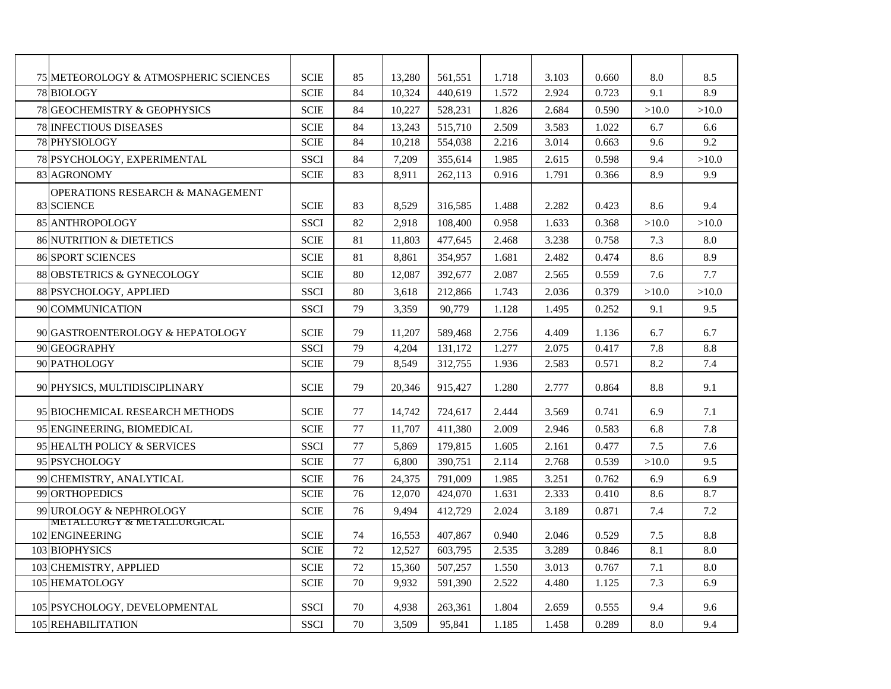| 75 METEOROLOGY & ATMOSPHERIC SCIENCES         | <b>SCIE</b> | 85 | 13,280 | 561,551 | 1.718 | 3.103 | 0.660 | 8.0   | 8.5   |
|-----------------------------------------------|-------------|----|--------|---------|-------|-------|-------|-------|-------|
| 78 BIOLOGY                                    | <b>SCIE</b> | 84 | 10,324 | 440,619 | 1.572 | 2.924 | 0.723 | 9.1   | 8.9   |
| <b>78 GEOCHEMISTRY &amp; GEOPHYSICS</b>       | SCIE        | 84 | 10,227 | 528,231 | 1.826 | 2.684 | 0.590 | >10.0 | >10.0 |
| <b>78 INFECTIOUS DISEASES</b>                 | <b>SCIE</b> | 84 | 13,243 | 515,710 | 2.509 | 3.583 | 1.022 | 6.7   | 6.6   |
| 78 PHYSIOLOGY                                 | <b>SCIE</b> | 84 | 10,218 | 554,038 | 2.216 | 3.014 | 0.663 | 9.6   | 9.2   |
| 78 PSYCHOLOGY, EXPERIMENTAL                   | <b>SSCI</b> | 84 | 7,209  | 355,614 | 1.985 | 2.615 | 0.598 | 9.4   | >10.0 |
| 83 AGRONOMY                                   | <b>SCIE</b> | 83 | 8,911  | 262,113 | 0.916 | 1.791 | 0.366 | 8.9   | 9.9   |
| <b>OPERATIONS RESEARCH &amp; MANAGEMENT</b>   |             |    |        |         |       |       |       |       |       |
| 83 SCIENCE                                    | <b>SCIE</b> | 83 | 8,529  | 316,585 | 1.488 | 2.282 | 0.423 | 8.6   | 9.4   |
| 85 ANTHROPOLOGY                               | <b>SSCI</b> | 82 | 2,918  | 108,400 | 0.958 | 1.633 | 0.368 | >10.0 | >10.0 |
| <b>86 NUTRITION &amp; DIETETICS</b>           | <b>SCIE</b> | 81 | 11,803 | 477,645 | 2.468 | 3.238 | 0.758 | 7.3   | 8.0   |
| <b>86 SPORT SCIENCES</b>                      | <b>SCIE</b> | 81 | 8,861  | 354,957 | 1.681 | 2.482 | 0.474 | 8.6   | 8.9   |
| 88 OBSTETRICS & GYNECOLOGY                    | <b>SCIE</b> | 80 | 12,087 | 392,677 | 2.087 | 2.565 | 0.559 | 7.6   | 7.7   |
| 88 PSYCHOLOGY, APPLIED                        | <b>SSCI</b> | 80 | 3,618  | 212,866 | 1.743 | 2.036 | 0.379 | >10.0 | >10.0 |
| 90 COMMUNICATION                              | <b>SSCI</b> | 79 | 3,359  | 90,779  | 1.128 | 1.495 | 0.252 | 9.1   | 9.5   |
| 90 GASTROENTEROLOGY & HEPATOLOGY              | <b>SCIE</b> | 79 | 11.207 | 589,468 | 2.756 | 4.409 | 1.136 | 6.7   | 6.7   |
| 90 GEOGRAPHY                                  | <b>SSCI</b> | 79 | 4,204  | 131,172 | 1.277 | 2.075 | 0.417 | 7.8   | 8.8   |
| 90 PATHOLOGY                                  | <b>SCIE</b> | 79 | 8,549  | 312,755 | 1.936 | 2.583 | 0.571 | 8.2   | 7.4   |
| 90 PHYSICS, MULTIDISCIPLINARY                 | <b>SCIE</b> | 79 | 20.346 | 915,427 | 1.280 | 2.777 | 0.864 | 8.8   | 9.1   |
| 95 BIOCHEMICAL RESEARCH METHODS               | <b>SCIE</b> | 77 | 14,742 | 724,617 | 2.444 | 3.569 | 0.741 | 6.9   | 7.1   |
| 95 ENGINEERING, BIOMEDICAL                    | <b>SCIE</b> | 77 | 11,707 | 411,380 | 2.009 | 2.946 | 0.583 | 6.8   | 7.8   |
| 95 HEALTH POLICY & SERVICES                   | <b>SSCI</b> | 77 | 5,869  | 179,815 | 1.605 | 2.161 | 0.477 | 7.5   | 7.6   |
| 95 PSYCHOLOGY                                 | <b>SCIE</b> | 77 | 6,800  | 390,751 | 2.114 | 2.768 | 0.539 | >10.0 | 9.5   |
| 99 CHEMISTRY, ANALYTICAL                      | <b>SCIE</b> | 76 | 24,375 | 791,009 | 1.985 | 3.251 | 0.762 | 6.9   | 6.9   |
| 99 ORTHOPEDICS                                | <b>SCIE</b> | 76 | 12,070 | 424,070 | 1.631 | 2.333 | 0.410 | 8.6   | 8.7   |
| 99 UROLOGY & NEPHROLOGY                       | <b>SCIE</b> | 76 | 9,494  | 412,729 | 2.024 | 3.189 | 0.871 | 7.4   | 7.2   |
| METALLURGY & METALLURGICAL<br>102 ENGINEERING | <b>SCIE</b> | 74 | 16,553 | 407.867 | 0.940 | 2.046 | 0.529 | 7.5   | 8.8   |
| 103 BIOPHYSICS                                | <b>SCIE</b> | 72 | 12,527 | 603,795 | 2.535 | 3.289 | 0.846 | 8.1   | 8.0   |
| 103 CHEMISTRY, APPLIED                        | SCIE        | 72 | 15,360 | 507,257 | 1.550 | 3.013 | 0.767 | 7.1   | 8.0   |
| 105 HEMATOLOGY                                | <b>SCIE</b> | 70 | 9,932  | 591,390 | 2.522 | 4.480 | 1.125 | 7.3   | 6.9   |
| 105 PSYCHOLOGY, DEVELOPMENTAL                 | <b>SSCI</b> | 70 | 4,938  | 263,361 | 1.804 | 2.659 | 0.555 | 9.4   | 9.6   |
| 105 REHABILITATION                            | <b>SSCI</b> | 70 | 3,509  | 95,841  | 1.185 | 1.458 | 0.289 | 8.0   | 9.4   |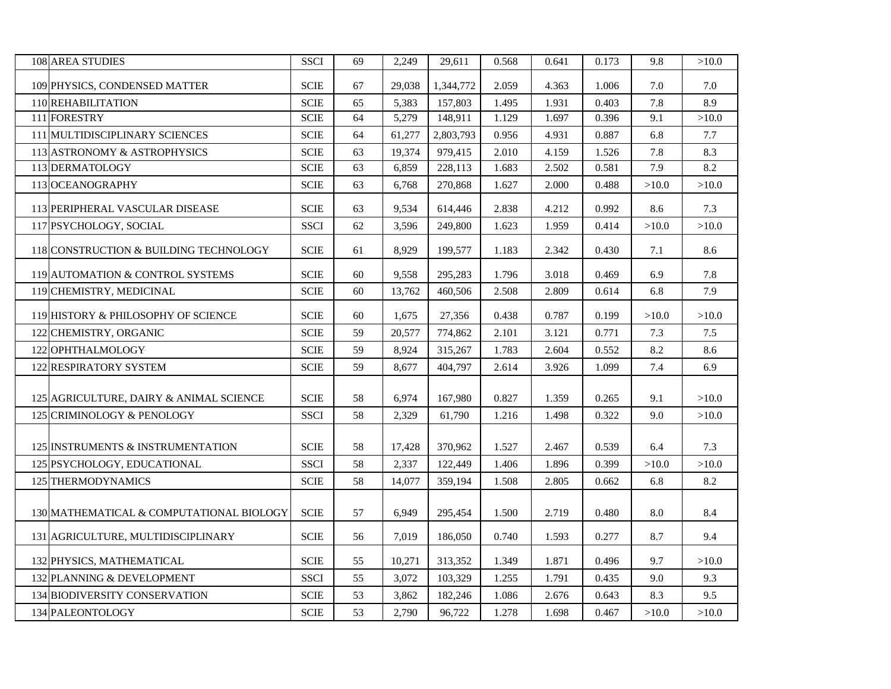| <b>108 AREA STUDIES</b>                  | <b>SSCI</b>           | 69 | 2,249  | 29,611    | 0.568 | 0.641 | 0.173 | 9.8   | >10.0 |
|------------------------------------------|-----------------------|----|--------|-----------|-------|-------|-------|-------|-------|
| 109 PHYSICS, CONDENSED MATTER            | <b>SCIE</b>           | 67 | 29,038 | 1,344,772 | 2.059 | 4.363 | 1.006 | 7.0   | 7.0   |
| 110 REHABILITATION                       | <b>SCIE</b>           | 65 | 5,383  | 157,803   | 1.495 | 1.931 | 0.403 | 7.8   | 8.9   |
| 111 FORESTRY                             | <b>SCIE</b>           | 64 | 5,279  | 148,911   | 1.129 | 1.697 | 0.396 | 9.1   | >10.0 |
| 111 MULTIDISCIPLINARY SCIENCES           | <b>SCIE</b>           | 64 | 61,277 | 2,803,793 | 0.956 | 4.931 | 0.887 | 6.8   | 7.7   |
| 113 ASTRONOMY & ASTROPHYSICS             | <b>SCIE</b>           | 63 | 19,374 | 979,415   | 2.010 | 4.159 | 1.526 | 7.8   | 8.3   |
| 113 DERMATOLOGY                          | <b>SCIE</b>           | 63 | 6,859  | 228,113   | 1.683 | 2.502 | 0.581 | 7.9   | 8.2   |
| 113 OCEANOGRAPHY                         | <b>SCIE</b>           | 63 | 6,768  | 270,868   | 1.627 | 2.000 | 0.488 | >10.0 | >10.0 |
| 113 PERIPHERAL VASCULAR DISEASE          | <b>SCIE</b>           | 63 | 9,534  | 614,446   | 2.838 | 4.212 | 0.992 | 8.6   | 7.3   |
| 117 PSYCHOLOGY, SOCIAL                   | <b>SSCI</b>           | 62 | 3,596  | 249,800   | 1.623 | 1.959 | 0.414 | >10.0 | >10.0 |
| 118 CONSTRUCTION & BUILDING TECHNOLOGY   | <b>SCIE</b>           | 61 | 8,929  | 199,577   | 1.183 | 2.342 | 0.430 | 7.1   | 8.6   |
| 119 AUTOMATION & CONTROL SYSTEMS         | <b>SCIE</b>           | 60 | 9,558  | 295,283   | 1.796 | 3.018 | 0.469 | 6.9   | 7.8   |
| 119 CHEMISTRY, MEDICINAL                 | <b>SCIE</b>           | 60 | 13,762 | 460,506   | 2.508 | 2.809 | 0.614 | 6.8   | 7.9   |
| 119 HISTORY & PHILOSOPHY OF SCIENCE      | <b>SCIE</b>           | 60 | 1,675  | 27,356    | 0.438 | 0.787 | 0.199 | >10.0 | >10.0 |
| 122 CHEMISTRY, ORGANIC                   | <b>SCIE</b>           | 59 | 20,577 | 774,862   | 2.101 | 3.121 | 0.771 | 7.3   | 7.5   |
| 122 OPHTHALMOLOGY                        | <b>SCIE</b>           | 59 | 8,924  | 315,267   | 1.783 | 2.604 | 0.552 | 8.2   | 8.6   |
| 122 RESPIRATORY SYSTEM                   | $\operatorname{SCIE}$ | 59 | 8,677  | 404,797   | 2.614 | 3.926 | 1.099 | 7.4   | 6.9   |
| 125 AGRICULTURE, DAIRY & ANIMAL SCIENCE  | <b>SCIE</b>           | 58 | 6,974  | 167,980   | 0.827 | 1.359 | 0.265 | 9.1   | >10.0 |
| 125 CRIMINOLOGY & PENOLOGY               | <b>SSCI</b>           | 58 | 2,329  | 61,790    | 1.216 | 1.498 | 0.322 | 9.0   | >10.0 |
| 125 INSTRUMENTS & INSTRUMENTATION        | <b>SCIE</b>           | 58 | 17,428 | 370,962   | 1.527 | 2.467 | 0.539 | 6.4   | 7.3   |
| 125 PSYCHOLOGY, EDUCATIONAL              | <b>SSCI</b>           | 58 | 2,337  | 122,449   | 1.406 | 1.896 | 0.399 | >10.0 | >10.0 |
| 125 THERMODYNAMICS                       | <b>SCIE</b>           | 58 | 14,077 | 359,194   | 1.508 | 2.805 | 0.662 | 6.8   | 8.2   |
| 130 MATHEMATICAL & COMPUTATIONAL BIOLOGY | <b>SCIE</b>           | 57 | 6,949  | 295,454   | 1.500 | 2.719 | 0.480 | 8.0   | 8.4   |
| 131 AGRICULTURE, MULTIDISCIPLINARY       | <b>SCIE</b>           | 56 | 7,019  | 186,050   | 0.740 | 1.593 | 0.277 | 8.7   | 9.4   |
| 132 PHYSICS, MATHEMATICAL                | <b>SCIE</b>           | 55 | 10,271 | 313,352   | 1.349 | 1.871 | 0.496 | 9.7   | >10.0 |
| 132 PLANNING & DEVELOPMENT               | <b>SSCI</b>           | 55 | 3,072  | 103,329   | 1.255 | 1.791 | 0.435 | 9.0   | 9.3   |
| 134 BIODIVERSITY CONSERVATION            | <b>SCIE</b>           | 53 | 3,862  | 182,246   | 1.086 | 2.676 | 0.643 | 8.3   | 9.5   |
| 134 PALEONTOLOGY                         | <b>SCIE</b>           | 53 | 2,790  | 96,722    | 1.278 | 1.698 | 0.467 | >10.0 | >10.0 |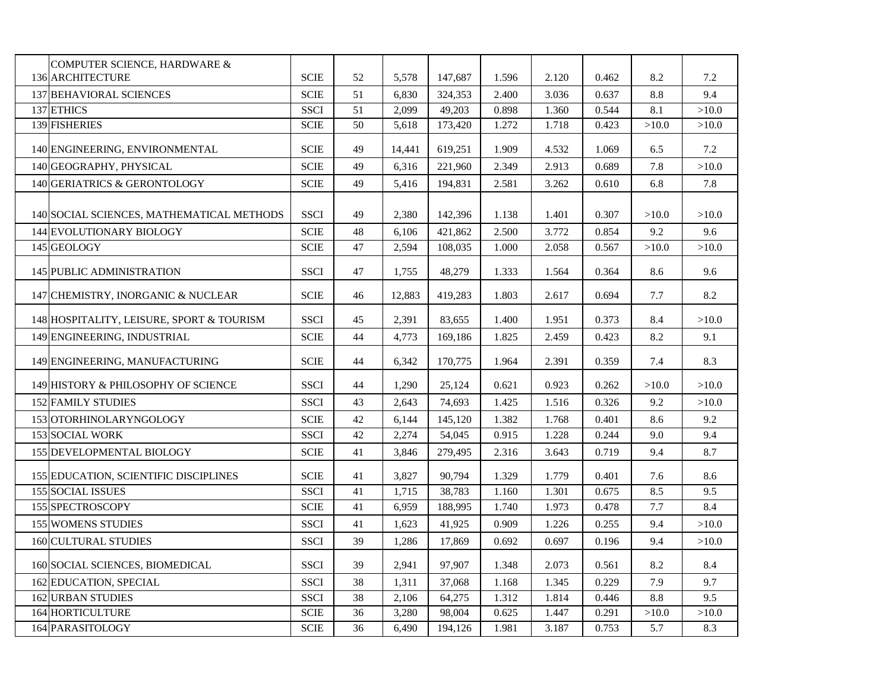| COMPUTER SCIENCE, HARDWARE &              |                       |    |        |         |       |       |       |       |       |
|-------------------------------------------|-----------------------|----|--------|---------|-------|-------|-------|-------|-------|
| <b>136 ARCHITECTURE</b>                   | <b>SCIE</b>           | 52 | 5,578  | 147,687 | 1.596 | 2.120 | 0.462 | 8.2   | 7.2   |
| <b>137 BEHAVIORAL SCIENCES</b>            | <b>SCIE</b>           | 51 | 6,830  | 324,353 | 2.400 | 3.036 | 0.637 | 8.8   | 9.4   |
| 137 ETHICS                                | <b>SSCI</b>           | 51 | 2,099  | 49,203  | 0.898 | 1.360 | 0.544 | 8.1   | >10.0 |
| 139 FISHERIES                             | <b>SCIE</b>           | 50 | 5,618  | 173,420 | 1.272 | 1.718 | 0.423 | >10.0 | >10.0 |
| 140 ENGINEERING, ENVIRONMENTAL            | <b>SCIE</b>           | 49 | 14,441 | 619,251 | 1.909 | 4.532 | 1.069 | 6.5   | 7.2   |
| 140 GEOGRAPHY, PHYSICAL                   | <b>SCIE</b>           | 49 | 6,316  | 221,960 | 2.349 | 2.913 | 0.689 | 7.8   | >10.0 |
| 140 GERIATRICS & GERONTOLOGY              | <b>SCIE</b>           | 49 | 5,416  | 194,831 | 2.581 | 3.262 | 0.610 | 6.8   | 7.8   |
| 140 SOCIAL SCIENCES, MATHEMATICAL METHODS | <b>SSCI</b>           | 49 | 2,380  | 142,396 | 1.138 | 1.401 | 0.307 | >10.0 | >10.0 |
| 144 EVOLUTIONARY BIOLOGY                  | <b>SCIE</b>           | 48 | 6,106  | 421,862 | 2.500 | 3.772 | 0.854 | 9.2   | 9.6   |
| 145 GEOLOGY                               | $\operatorname{SCIE}$ | 47 | 2,594  | 108,035 | 1.000 | 2.058 | 0.567 | >10.0 | >10.0 |
| 145 PUBLIC ADMINISTRATION                 | <b>SSCI</b>           | 47 | 1,755  | 48,279  | 1.333 | 1.564 | 0.364 | 8.6   | 9.6   |
| 147 CHEMISTRY, INORGANIC & NUCLEAR        | <b>SCIE</b>           | 46 | 12,883 | 419,283 | 1.803 | 2.617 | 0.694 | 7.7   | 8.2   |
| 148 HOSPITALITY, LEISURE, SPORT & TOURISM | <b>SSCI</b>           | 45 | 2,391  | 83,655  | 1.400 | 1.951 | 0.373 | 8.4   | >10.0 |
| 149 ENGINEERING, INDUSTRIAL               | <b>SCIE</b>           | 44 | 4,773  | 169,186 | 1.825 | 2.459 | 0.423 | 8.2   | 9.1   |
| 149 ENGINEERING, MANUFACTURING            | <b>SCIE</b>           | 44 | 6,342  | 170,775 | 1.964 | 2.391 | 0.359 | 7.4   | 8.3   |
| 149 HISTORY & PHILOSOPHY OF SCIENCE       | <b>SSCI</b>           | 44 | 1,290  | 25,124  | 0.621 | 0.923 | 0.262 | >10.0 | >10.0 |
| <b>152 FAMILY STUDIES</b>                 | SSCI                  | 43 | 2,643  | 74,693  | 1.425 | 1.516 | 0.326 | 9.2   | >10.0 |
| 153 OTORHINOLARYNGOLOGY                   | <b>SCIE</b>           | 42 | 6,144  | 145,120 | 1.382 | 1.768 | 0.401 | 8.6   | 9.2   |
| <b>153 SOCIAL WORK</b>                    | <b>SSCI</b>           | 42 | 2,274  | 54,045  | 0.915 | 1.228 | 0.244 | 9.0   | 9.4   |
| 155 DEVELOPMENTAL BIOLOGY                 | <b>SCIE</b>           | 41 | 3,846  | 279,495 | 2.316 | 3.643 | 0.719 | 9.4   | 8.7   |
| 155 EDUCATION, SCIENTIFIC DISCIPLINES     | <b>SCIE</b>           | 41 | 3,827  | 90,794  | 1.329 | 1.779 | 0.401 | 7.6   | 8.6   |
| <b>155 SOCIAL ISSUES</b>                  | <b>SSCI</b>           | 41 | 1,715  | 38,783  | 1.160 | 1.301 | 0.675 | 8.5   | 9.5   |
| 155 SPECTROSCOPY                          | <b>SCIE</b>           | 41 | 6,959  | 188,995 | 1.740 | 1.973 | 0.478 | 7.7   | 8.4   |
| <b>155 WOMENS STUDIES</b>                 | <b>SSCI</b>           | 41 | 1,623  | 41,925  | 0.909 | 1.226 | 0.255 | 9.4   | >10.0 |
| <b>160 CULTURAL STUDIES</b>               | SSCI                  | 39 | 1,286  | 17,869  | 0.692 | 0.697 | 0.196 | 9.4   | >10.0 |
| 160 SOCIAL SCIENCES, BIOMEDICAL           | SSCI                  | 39 | 2,941  | 97,907  | 1.348 | 2.073 | 0.561 | 8.2   | 8.4   |
| 162 EDUCATION, SPECIAL                    | <b>SSCI</b>           | 38 | 1,311  | 37,068  | 1.168 | 1.345 | 0.229 | 7.9   | 9.7   |
| <b>162 URBAN STUDIES</b>                  | <b>SSCI</b>           | 38 | 2,106  | 64,275  | 1.312 | 1.814 | 0.446 | 8.8   | 9.5   |
| 164 HORTICULTURE                          | <b>SCIE</b>           | 36 | 3,280  | 98,004  | 0.625 | 1.447 | 0.291 | >10.0 | >10.0 |
| 164 PARASITOLOGY                          | <b>SCIE</b>           | 36 | 6,490  | 194,126 | 1.981 | 3.187 | 0.753 | 5.7   | 8.3   |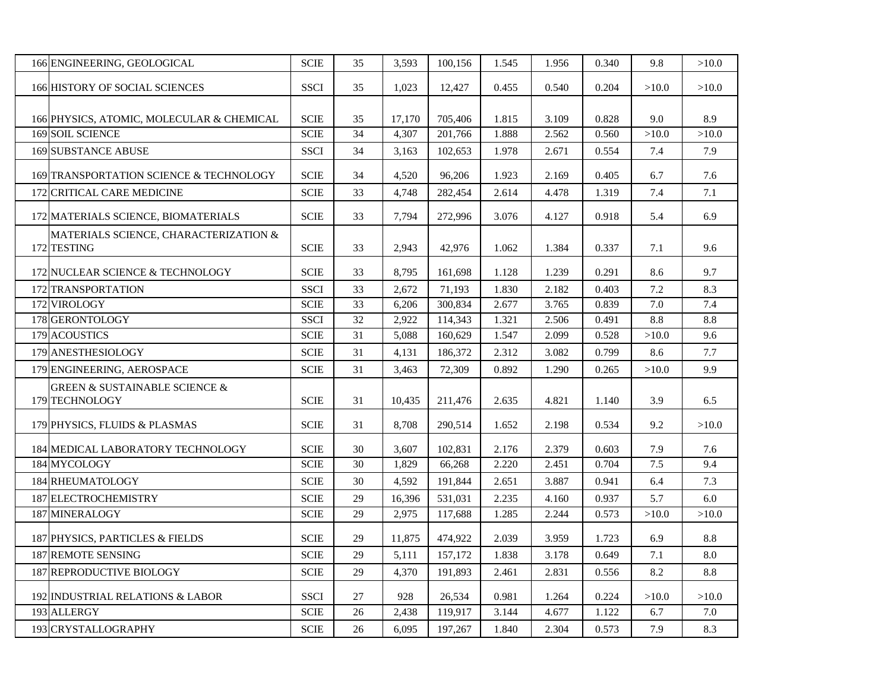| 166 ENGINEERING, GEOLOGICAL                                    | <b>SCIE</b>           | 35 | 3,593  | 100,156 | 1.545 | 1.956 | 0.340 | 9.8   | >10.0 |
|----------------------------------------------------------------|-----------------------|----|--------|---------|-------|-------|-------|-------|-------|
| <b>166 HISTORY OF SOCIAL SCIENCES</b>                          | <b>SSCI</b>           | 35 | 1,023  | 12,427  | 0.455 | 0.540 | 0.204 | >10.0 | >10.0 |
| 166 PHYSICS, ATOMIC, MOLECULAR & CHEMICAL                      | <b>SCIE</b>           | 35 | 17,170 | 705,406 | 1.815 | 3.109 | 0.828 | 9.0   | 8.9   |
| <b>169 SOIL SCIENCE</b>                                        | <b>SCIE</b>           | 34 | 4,307  | 201,766 | 1.888 | 2.562 | 0.560 | >10.0 | >10.0 |
| <b>169 SUBSTANCE ABUSE</b>                                     | <b>SSCI</b>           | 34 | 3,163  | 102,653 | 1.978 | 2.671 | 0.554 | 7.4   | 7.9   |
| 169 TRANSPORTATION SCIENCE & TECHNOLOGY                        | <b>SCIE</b>           | 34 | 4,520  | 96,206  | 1.923 | 2.169 | 0.405 | 6.7   | 7.6   |
| 172 CRITICAL CARE MEDICINE                                     | <b>SCIE</b>           | 33 | 4,748  | 282,454 | 2.614 | 4.478 | 1.319 | 7.4   | 7.1   |
| 172 MATERIALS SCIENCE, BIOMATERIALS                            | <b>SCIE</b>           | 33 | 7,794  | 272,996 | 3.076 | 4.127 | 0.918 | 5.4   | 6.9   |
| MATERIALS SCIENCE, CHARACTERIZATION &<br>172 TESTING           | <b>SCIE</b>           | 33 | 2,943  | 42,976  | 1.062 | 1.384 | 0.337 | 7.1   | 9.6   |
| 172 NUCLEAR SCIENCE & TECHNOLOGY                               | <b>SCIE</b>           | 33 | 8,795  | 161,698 | 1.128 | 1.239 | 0.291 | 8.6   | 9.7   |
| 172 TRANSPORTATION                                             | <b>SSCI</b>           | 33 | 2,672  | 71,193  | 1.830 | 2.182 | 0.403 | 7.2   | 8.3   |
| 172 VIROLOGY                                                   | <b>SCIE</b>           | 33 | 6,206  | 300,834 | 2.677 | 3.765 | 0.839 | 7.0   | 7.4   |
| 178 GERONTOLOGY                                                | <b>SSCI</b>           | 32 | 2,922  | 114,343 | 1.321 | 2.506 | 0.491 | 8.8   | 8.8   |
| 179 ACOUSTICS                                                  | <b>SCIE</b>           | 31 | 5,088  | 160,629 | 1.547 | 2.099 | 0.528 | >10.0 | 9.6   |
| 179 ANESTHESIOLOGY                                             | <b>SCIE</b>           | 31 | 4,131  | 186,372 | 2.312 | 3.082 | 0.799 | 8.6   | 7.7   |
| 179 ENGINEERING, AEROSPACE                                     | <b>SCIE</b>           | 31 | 3,463  | 72,309  | 0.892 | 1.290 | 0.265 | >10.0 | 9.9   |
| <b>GREEN &amp; SUSTAINABLE SCIENCE &amp;</b><br>179 TECHNOLOGY | <b>SCIE</b>           | 31 | 10,435 | 211,476 | 2.635 | 4.821 | 1.140 | 3.9   | 6.5   |
| 179 PHYSICS, FLUIDS & PLASMAS                                  | <b>SCIE</b>           | 31 | 8,708  | 290,514 | 1.652 | 2.198 | 0.534 | 9.2   | >10.0 |
| 184 MEDICAL LABORATORY TECHNOLOGY                              | <b>SCIE</b>           | 30 | 3,607  | 102,831 | 2.176 | 2.379 | 0.603 | 7.9   | 7.6   |
| 184 MYCOLOGY                                                   | <b>SCIE</b>           | 30 | 1,829  | 66,268  | 2.220 | 2.451 | 0.704 | 7.5   | 9.4   |
| 184 RHEUMATOLOGY                                               | <b>SCIE</b>           | 30 | 4,592  | 191,844 | 2.651 | 3.887 | 0.941 | 6.4   | 7.3   |
| 187 ELECTROCHEMISTRY                                           | <b>SCIE</b>           | 29 | 16,396 | 531,031 | 2.235 | 4.160 | 0.937 | 5.7   | 6.0   |
| 187 MINERALOGY                                                 | <b>SCIE</b>           | 29 | 2,975  | 117,688 | 1.285 | 2.244 | 0.573 | >10.0 | >10.0 |
| 187 PHYSICS, PARTICLES & FIELDS                                | <b>SCIE</b>           | 29 | 11,875 | 474,922 | 2.039 | 3.959 | 1.723 | 6.9   | 8.8   |
| <b>187 REMOTE SENSING</b>                                      | <b>SCIE</b>           | 29 | 5,111  | 157,172 | 1.838 | 3.178 | 0.649 | 7.1   | 8.0   |
| <b>187 REPRODUCTIVE BIOLOGY</b>                                | <b>SCIE</b>           | 29 | 4,370  | 191,893 | 2.461 | 2.831 | 0.556 | 8.2   | 8.8   |
| 192 INDUSTRIAL RELATIONS & LABOR                               | <b>SSCI</b>           | 27 | 928    | 26,534  | 0.981 | 1.264 | 0.224 | >10.0 | >10.0 |
| 193 ALLERGY                                                    | <b>SCIE</b>           | 26 | 2,438  | 119,917 | 3.144 | 4.677 | 1.122 | 6.7   | 7.0   |
| 193 CRYSTALLOGRAPHY                                            | $\operatorname{SCIE}$ | 26 | 6,095  | 197,267 | 1.840 | 2.304 | 0.573 | 7.9   | 8.3   |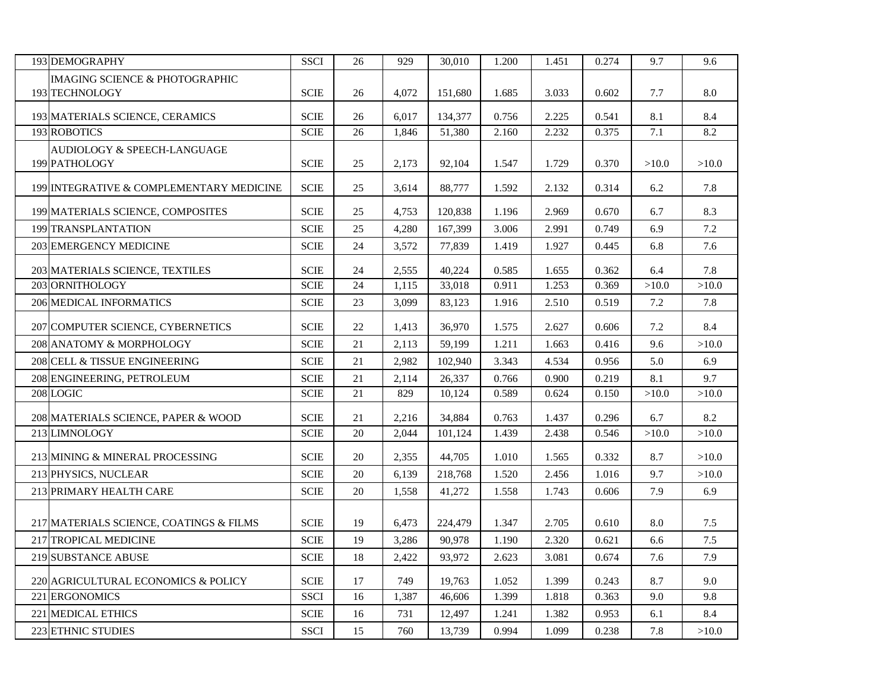| 193 DEMOGRAPHY                               | <b>SSCI</b> | 26 | 929   | 30,010  | 1.200 | 1.451 | 0.274 | 9.7   | 9.6   |
|----------------------------------------------|-------------|----|-------|---------|-------|-------|-------|-------|-------|
| <b>IMAGING SCIENCE &amp; PHOTOGRAPHIC</b>    |             |    |       |         |       |       |       |       |       |
| 193 TECHNOLOGY                               | <b>SCIE</b> | 26 | 4.072 | 151,680 | 1.685 | 3.033 | 0.602 | 7.7   | 8.0   |
| 193 MATERIALS SCIENCE, CERAMICS              | <b>SCIE</b> | 26 | 6,017 | 134,377 | 0.756 | 2.225 | 0.541 | 8.1   | 8.4   |
| <b>193 ROBOTICS</b>                          | <b>SCIE</b> | 26 | 1,846 | 51,380  | 2.160 | 2.232 | 0.375 | 7.1   | 8.2   |
| AUDIOLOGY & SPEECH-LANGUAGE<br>199 PATHOLOGY | <b>SCIE</b> | 25 | 2,173 | 92,104  | 1.547 | 1.729 | 0.370 | >10.0 | >10.0 |
| 199 INTEGRATIVE & COMPLEMENTARY MEDICINE     | <b>SCIE</b> | 25 | 3,614 | 88,777  | 1.592 | 2.132 | 0.314 | 6.2   | 7.8   |
| 199 MATERIALS SCIENCE, COMPOSITES            | <b>SCIE</b> | 25 | 4,753 | 120,838 | 1.196 | 2.969 | 0.670 | 6.7   | 8.3   |
| 199 TRANSPLANTATION                          | <b>SCIE</b> | 25 | 4,280 | 167,399 | 3.006 | 2.991 | 0.749 | 6.9   | 7.2   |
| <b>203 EMERGENCY MEDICINE</b>                | <b>SCIE</b> | 24 | 3,572 | 77,839  | 1.419 | 1.927 | 0.445 | 6.8   | 7.6   |
| 203 MATERIALS SCIENCE, TEXTILES              | <b>SCIE</b> | 24 | 2,555 | 40,224  | 0.585 | 1.655 | 0.362 | 6.4   | 7.8   |
| 203 ORNITHOLOGY                              | <b>SCIE</b> | 24 | 1,115 | 33,018  | 0.911 | 1.253 | 0.369 | >10.0 | >10.0 |
| 206 MEDICAL INFORMATICS                      | <b>SCIE</b> | 23 | 3,099 | 83,123  | 1.916 | 2.510 | 0.519 | 7.2   | 7.8   |
| 207 COMPUTER SCIENCE, CYBERNETICS            | <b>SCIE</b> | 22 | 1,413 | 36,970  | 1.575 | 2.627 | 0.606 | 7.2   | 8.4   |
| 208 ANATOMY & MORPHOLOGY                     | <b>SCIE</b> | 21 | 2,113 | 59,199  | 1.211 | 1.663 | 0.416 | 9.6   | >10.0 |
| 208 CELL & TISSUE ENGINEERING                | <b>SCIE</b> | 21 | 2,982 | 102,940 | 3.343 | 4.534 | 0.956 | 5.0   | 6.9   |
| 208 ENGINEERING, PETROLEUM                   | <b>SCIE</b> | 21 | 2,114 | 26,337  | 0.766 | 0.900 | 0.219 | 8.1   | 9.7   |
| 208 LOGIC                                    | <b>SCIE</b> | 21 | 829   | 10,124  | 0.589 | 0.624 | 0.150 | >10.0 | >10.0 |
| 208 MATERIALS SCIENCE, PAPER & WOOD          | <b>SCIE</b> | 21 | 2,216 | 34,884  | 0.763 | 1.437 | 0.296 | 6.7   | 8.2   |
| 213 LIMNOLOGY                                | <b>SCIE</b> | 20 | 2,044 | 101,124 | 1.439 | 2.438 | 0.546 | >10.0 | >10.0 |
| 213 MINING & MINERAL PROCESSING              | <b>SCIE</b> | 20 | 2,355 | 44,705  | 1.010 | 1.565 | 0.332 | 8.7   | >10.0 |
| 213 PHYSICS, NUCLEAR                         | <b>SCIE</b> | 20 | 6,139 | 218,768 | 1.520 | 2.456 | 1.016 | 9.7   | >10.0 |
| 213 PRIMARY HEALTH CARE                      | <b>SCIE</b> | 20 | 1,558 | 41,272  | 1.558 | 1.743 | 0.606 | 7.9   | 6.9   |
| 217 MATERIALS SCIENCE, COATINGS & FILMS      | <b>SCIE</b> | 19 | 6,473 | 224,479 | 1.347 | 2.705 | 0.610 | 8.0   | 7.5   |
| 217 TROPICAL MEDICINE                        | <b>SCIE</b> | 19 | 3,286 | 90,978  | 1.190 | 2.320 | 0.621 | 6.6   | $7.5$ |
| 219 SUBSTANCE ABUSE                          | <b>SCIE</b> | 18 | 2,422 | 93,972  | 2.623 | 3.081 | 0.674 | 7.6   | 7.9   |
|                                              |             |    |       |         |       |       |       |       |       |
| 220 AGRICULTURAL ECONOMICS & POLICY          | <b>SCIE</b> | 17 | 749   | 19,763  | 1.052 | 1.399 | 0.243 | 8.7   | 9.0   |
| 221 ERGONOMICS                               | <b>SSCI</b> | 16 | 1,387 | 46,606  | 1.399 | 1.818 | 0.363 | 9.0   | 9.8   |
| <b>221 MEDICAL ETHICS</b>                    | <b>SCIE</b> | 16 | 731   | 12,497  | 1.241 | 1.382 | 0.953 | 6.1   | 8.4   |
| 223 ETHNIC STUDIES                           | <b>SSCI</b> | 15 | 760   | 13,739  | 0.994 | 1.099 | 0.238 | 7.8   | >10.0 |